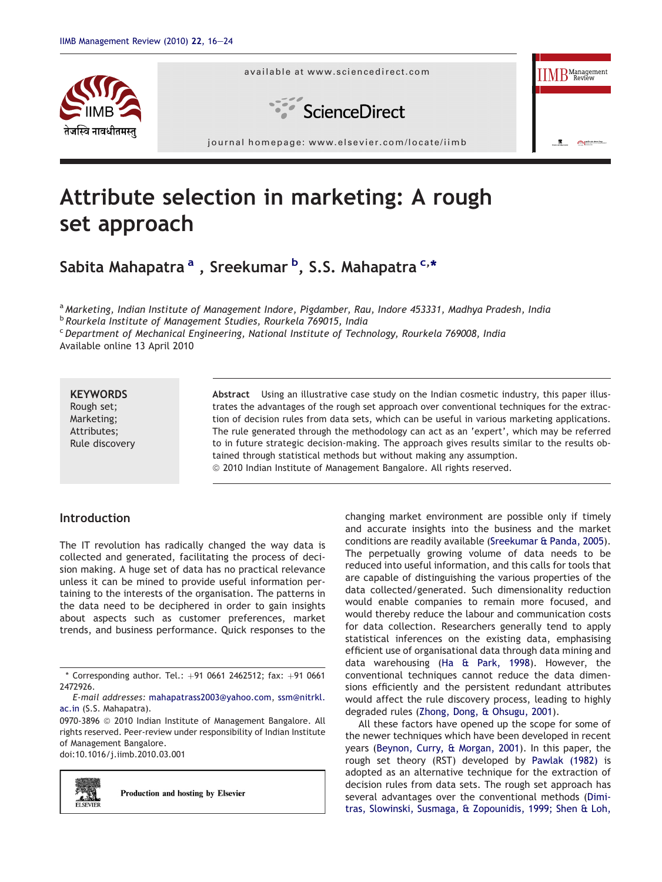

available at www.sciencedirect.com



journal homepage: [www.elsevier.com/locate/iimb](http://www.elsevier.com/locate/iimb)

# Attribute selection in marketing: A rough set approach

Sabita Mahapatra <sup>a</sup> , Sreekumar <sup>b</sup>, S.S. Mahapatra <sup>c,</sup>\*

a Marketing, Indian Institute of Management Indore, Pigdamber, Rau, Indore 453331, Madhya Pradesh, India

<sup>b</sup> Rourkela Institute of Management Studies, Rourkela 769015, India

 $c$  Department of Mechanical Engineering, National Institute of Technology, Rourkela 769008, India Available online 13 April 2010

# **KEYWORDS**

Rough set; Marketing; Attributes; Rule discovery Abstract Using an illustrative case study on the Indian cosmetic industry, this paper illustrates the advantages of the rough set approach over conventional techniques for the extraction of decision rules from data sets, which can be useful in various marketing applications. The rule generated through the methodology can act as an 'expert', which may be referred to in future strategic decision-making. The approach gives results similar to the results obtained through statistical methods but without making any assumption.  $\odot$  2010 Indian Institute of Management Bangalore. All rights reserved.

# Introduction

The IT revolution has radically changed the way data is collected and generated, facilitating the process of decision making. A huge set of data has no practical relevance unless it can be mined to provide useful information pertaining to the interests of the organisation. The patterns in the data need to be deciphered in order to gain insights about aspects such as customer preferences, market trends, and business performance. Quick responses to the

0970-3896 @ 2010 Indian Institute of Management Bangalore. All rights reserved. Peer-review under responsibility of Indian Institute of Management Bangalore.

doi:10.1016/j.iimb.2010.03.001



Production and hosting by Elsevier

changing market environment are possible only if timely and accurate insights into the business and the market conditions are readily available [\(Sreekumar & Panda, 2005](#page-8-0)). The perpetually growing volume of data needs to be reduced into useful information, and this calls for tools that are capable of distinguishing the various properties of the data collected/generated. Such dimensionality reduction would enable companies to remain more focused, and would thereby reduce the labour and communication costs for data collection. Researchers generally tend to apply statistical inferences on the existing data, emphasising efficient use of organisational data through data mining and data warehousing ([Ha & Park, 1998\)](#page-7-0). However, the conventional techniques cannot reduce the data dimensions efficiently and the persistent redundant attributes would affect the rule discovery process, leading to highly degraded rules [\(Zhong, Dong, & Ohsugu, 2001](#page-8-0)).

INDIAN INSTITUTE OF MANAGEMENT BANGALORE IIMB

**IIMB** Management

All these factors have opened up the scope for some of the newer techniques which have been developed in recent years ([Beynon, Curry, & Morgan, 2001\)](#page-7-0). In this paper, the rough set theory (RST) developed by [Pawlak \(1982\)](#page-7-0) is adopted as an alternative technique for the extraction of decision rules from data sets. The rough set approach has several advantages over the conventional methods ([Dimi](#page-7-0)[tras, Slowinski, Susmaga, & Zopounidis, 1999; Shen & Loh,](#page-7-0)

 $*$  Corresponding author. Tel.:  $+91$  0661 2462512; fax:  $+91$  0661 2472926.

E-mail addresses: [mahapatrass2003@yahoo.com](mailto:mahapatrass2003@yahoo.com), [ssm@nitrkl.](mailto:ssm@nitrkl.ac.in) [ac.in](mailto:ssm@nitrkl.ac.in) (S.S. Mahapatra).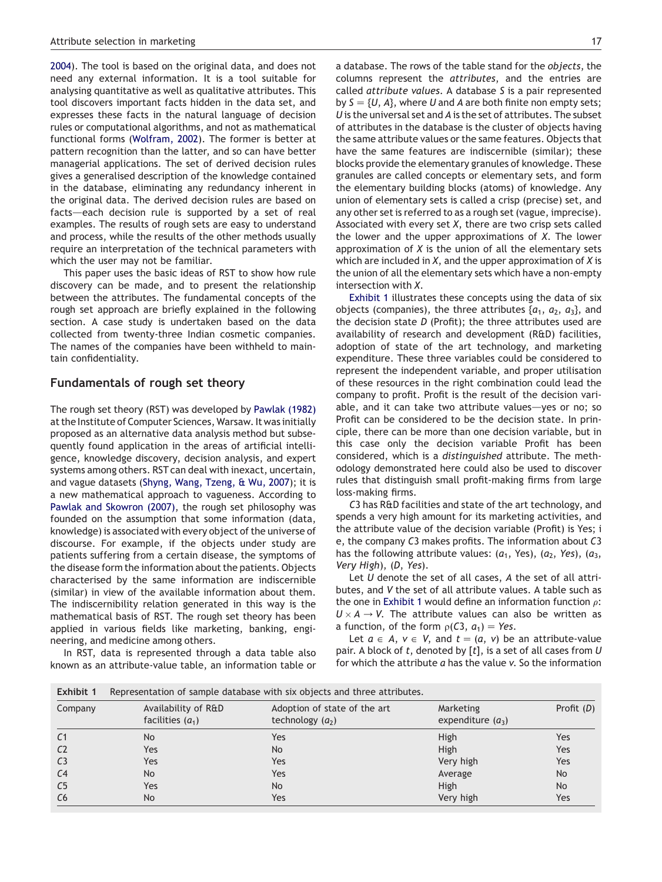<span id="page-1-0"></span>[2004](#page-7-0)). The tool is based on the original data, and does not need any external information. It is a tool suitable for analysing quantitative as well as qualitative attributes. This tool discovers important facts hidden in the data set, and expresses these facts in the natural language of decision rules or computational algorithms, and not as mathematical functional forms [\(Wolfram, 2002](#page-8-0)). The former is better at pattern recognition than the latter, and so can have better managerial applications. The set of derived decision rules gives a generalised description of the knowledge contained in the database, eliminating any redundancy inherent in the original data. The derived decision rules are based on facts-each decision rule is supported by a set of real examples. The results of rough sets are easy to understand and process, while the results of the other methods usually require an interpretation of the technical parameters with which the user may not be familiar.

This paper uses the basic ideas of RST to show how rule discovery can be made, and to present the relationship between the attributes. The fundamental concepts of the rough set approach are briefly explained in the following section. A case study is undertaken based on the data collected from twenty-three Indian cosmetic companies. The names of the companies have been withheld to maintain confidentiality.

## Fundamentals of rough set theory

The rough set theory (RST) was developed by [Pawlak \(1982\)](#page-7-0) at the Institute of Computer Sciences, Warsaw. It was initially proposed as an alternative data analysis method but subsequently found application in the areas of artificial intelligence, knowledge discovery, decision analysis, and expert systems among others. RST can deal with inexact, uncertain, and vague datasets [\(Shyng, Wang, Tzeng, & Wu, 2007\)](#page-8-0); it is a new mathematical approach to vagueness. According to [Pawlak and Skowron \(2007\),](#page-7-0) the rough set philosophy was founded on the assumption that some information (data, knowledge) is associated with every object of the universe of discourse. For example, if the objects under study are patients suffering from a certain disease, the symptoms of the disease form the information about the patients. Objects characterised by the same information are indiscernible (similar) in view of the available information about them. The indiscernibility relation generated in this way is the mathematical basis of RST. The rough set theory has been applied in various fields like marketing, banking, engineering, and medicine among others.

In RST, data is represented through a data table also known as an attribute-value table, an information table or a database. The rows of the table stand for the objects, the columns represent the attributes, and the entries are called attribute values. A database S is a pair represented by  $S = \{U, A\}$ , where U and A are both finite non empty sets; U is the universal set and A is the set of attributes. The subset of attributes in the database is the cluster of objects having the same attribute values or the same features. Objects that have the same features are indiscernible (similar); these blocks provide the elementary granules of knowledge. These granules are called concepts or elementary sets, and form the elementary building blocks (atoms) of knowledge. Any union of elementary sets is called a crisp (precise) set, and any other set is referred to as a rough set (vague, imprecise). Associated with every set  $X$ , there are two crisp sets called the lower and the upper approximations of  $X$ . The lower approximation of  $X$  is the union of all the elementary sets which are included in  $X$ , and the upper approximation of  $X$  is the union of all the elementary sets which have a non-empty intersection with X.

Exhibit 1 illustrates these concepts using the data of six objects (companies), the three attributes  $\{a_1, a_2, a_3\}$ , and the decision state  $D$  (Profit); the three attributes used are availability of research and development (R&D) facilities, adoption of state of the art technology, and marketing expenditure. These three variables could be considered to represent the independent variable, and proper utilisation of these resources in the right combination could lead the company to profit. Profit is the result of the decision variable, and it can take two attribute values-yes or no; so Profit can be considered to be the decision state. In principle, there can be more than one decision variable, but in this case only the decision variable Profit has been considered, which is a distinguished attribute. The methodology demonstrated here could also be used to discover rules that distinguish small profit-making firms from large loss-making firms.

C3 has R&D facilities and state of the art technology, and spends a very high amount for its marketing activities, and the attribute value of the decision variable (Profit) is Yes; i e, the company C3 makes profits. The information about C3 has the following attribute values:  $(a_1, Yes)$ ,  $(a_2, Yes)$ ,  $(a_3,$ Very High), (D, Yes).

Let U denote the set of all cases, A the set of all attributes, and V the set of all attribute values. A table such as the one in Exhibit 1 would define an information function  $\rho$ :  $U \times A \rightarrow V$ . The attribute values can also be written as a function, of the form  $p(C3, a_1) = Yes$ .

Let  $a \in A$ ,  $v \in V$ , and  $t = (a, v)$  be an attribute-value pair. A block of  $t$ , denoted by  $[t]$ , is a set of all cases from  $U$ for which the attribute a has the value v. So the information

| Exhibit 1      | Representation of sample database with six objects and three attributes. |                                                    |                                         |              |  |  |  |  |
|----------------|--------------------------------------------------------------------------|----------------------------------------------------|-----------------------------------------|--------------|--|--|--|--|
| Company        | Availability of R&D<br>facilities $(a_1)$                                | Adoption of state of the art<br>technology $(a_2)$ | <b>Marketing</b><br>expenditure $(a_3)$ | Profit $(D)$ |  |  |  |  |
| C <sub>1</sub> | <b>No</b>                                                                | Yes                                                | High                                    | Yes          |  |  |  |  |
| C <sub>2</sub> | Yes                                                                      | <b>No</b>                                          | High                                    | Yes          |  |  |  |  |
| C <sub>3</sub> | Yes                                                                      | Yes                                                | Very high                               | Yes          |  |  |  |  |
| C <sub>4</sub> | <b>No</b>                                                                | Yes                                                | Average                                 | <b>No</b>    |  |  |  |  |
| C <sub>5</sub> | Yes                                                                      | <b>No</b>                                          | High                                    | <b>No</b>    |  |  |  |  |
| C <sub>6</sub> | <b>No</b>                                                                | Yes                                                | Very high                               | Yes          |  |  |  |  |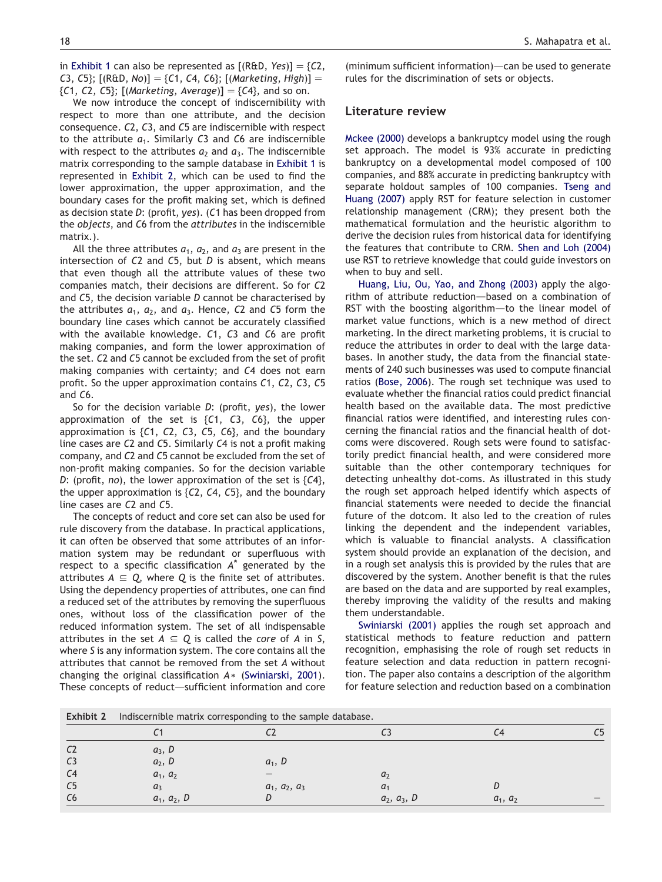in [Exhibit 1](#page-1-0) can also be represented as  $[(R&D, Yes)] = \{C2,$ C3, C5};  $[(R&D, No)] = {C1, C4, C6}$ ;  $[(Marketing, High)] =$  ${C1, C2, C5}$ ; [(Marketing, Average)] =  ${C4}$ , and so on.

We now introduce the concept of indiscernibility with respect to more than one attribute, and the decision consequence. C2, C3, and C5 are indiscernible with respect to the attribute  $a_1$ . Similarly C3 and C6 are indiscernible with respect to the attributes  $a_2$  and  $a_3$ . The indiscernible matrix corresponding to the sample database in [Exhibit 1](#page-1-0) is represented in Exhibit 2, which can be used to find the lower approximation, the upper approximation, and the boundary cases for the profit making set, which is defined as decision state D: (profit, yes). (C1 has been dropped from the objects, and C6 from the attributes in the indiscernible matrix.).

All the three attributes  $a_1$ ,  $a_2$ , and  $a_3$  are present in the intersection of  $C2$  and  $C5$ , but  $D$  is absent, which means that even though all the attribute values of these two companies match, their decisions are different. So for C2 and C5, the decision variable D cannot be characterised by the attributes  $a_1$ ,  $a_2$ , and  $a_3$ . Hence, C2 and C5 form the boundary line cases which cannot be accurately classified with the available knowledge. C1, C3 and C6 are profit making companies, and form the lower approximation of the set. C2 and C5 cannot be excluded from the set of profit making companies with certainty; and C4 does not earn profit. So the upper approximation contains C1, C2, C3, C5 and C6.

So for the decision variable  $D$ : (profit, yes), the lower approximation of the set is  ${C1, C3, C6}$ , the upper approximation is  ${C1, C2, C3, C5, C6}$ , and the boundary line cases are C2 and C5. Similarly C4 is not a profit making company, and C2 and C5 cannot be excluded from the set of non-profit making companies. So for the decision variable D: (profit, no), the lower approximation of the set is  ${C4}$ , the upper approximation is  ${C2, C4, C5}$ , and the boundary line cases are C2 and C5.

The concepts of reduct and core set can also be used for rule discovery from the database. In practical applications, it can often be observed that some attributes of an information system may be redundant or superfluous with respect to a specific classification  $A^*$  generated by the attributes  $A \subseteq Q$ , where Q is the finite set of attributes. Using the dependency properties of attributes, one can find a reduced set of the attributes by removing the superfluous ones, without loss of the classification power of the reduced information system. The set of all indispensable attributes in the set  $A \subseteq Q$  is called the core of A in S, where S is any information system. The core contains all the attributes that cannot be removed from the set A without changing the original classification  $A*$  [\(Swiniarski, 2001](#page-8-0)). These concepts of reduct-sufficient information and core

(minimum sufficient information) $-$ can be used to generate rules for the discrimination of sets or objects.

#### Literature review

[Mckee \(2000\)](#page-7-0) develops a bankruptcy model using the rough set approach. The model is 93% accurate in predicting bankruptcy on a developmental model composed of 100 companies, and 88% accurate in predicting bankruptcy with separate holdout samples of 100 companies. [Tseng and](#page-8-0) [Huang \(2007\)](#page-8-0) apply RST for feature selection in customer relationship management (CRM); they present both the mathematical formulation and the heuristic algorithm to derive the decision rules from historical data for identifying the features that contribute to CRM. [Shen and Loh \(2004\)](#page-8-0) use RST to retrieve knowledge that could guide investors on when to buy and sell.

[Huang, Liu, Ou, Yao, and Zhong \(2003\)](#page-7-0) apply the algorithm of attribute reduction-based on a combination of RST with the boosting algorithm—to the linear model of market value functions, which is a new method of direct marketing. In the direct marketing problems, it is crucial to reduce the attributes in order to deal with the large databases. In another study, the data from the financial statements of 240 such businesses was used to compute financial ratios ([Bose, 2006\)](#page-7-0). The rough set technique was used to evaluate whether the financial ratios could predict financial health based on the available data. The most predictive financial ratios were identified, and interesting rules concerning the financial ratios and the financial health of dotcoms were discovered. Rough sets were found to satisfactorily predict financial health, and were considered more suitable than the other contemporary techniques for detecting unhealthy dot-coms. As illustrated in this study the rough set approach helped identify which aspects of financial statements were needed to decide the financial future of the dotcom. It also led to the creation of rules linking the dependent and the independent variables, which is valuable to financial analysts. A classification system should provide an explanation of the decision, and in a rough set analysis this is provided by the rules that are discovered by the system. Another benefit is that the rules are based on the data and are supported by real examples, thereby improving the validity of the results and making them understandable.

[Swiniarski \(2001\)](#page-8-0) applies the rough set approach and statistical methods to feature reduction and pattern recognition, emphasising the role of rough set reducts in feature selection and data reduction in pattern recognition. The paper also contains a description of the algorithm for feature selection and reduction based on a combination

| Indiscernible matrix corresponding to the sample database. | Exhibit 2 |  |  |  |  |  |
|------------------------------------------------------------|-----------|--|--|--|--|--|
|------------------------------------------------------------|-----------|--|--|--|--|--|

| <b>LAILDILL</b> |               | mandermore matrix corresponding to the sample database. |                |            |    |
|-----------------|---------------|---------------------------------------------------------|----------------|------------|----|
|                 | C1            | C <sub>2</sub>                                          | C3             |            | C5 |
| C <sub>2</sub>  | $a_3, D$      |                                                         |                |            |    |
| C <sub>3</sub>  | $a_2, D$      | $a_1, D$                                                |                |            |    |
| C <sub>4</sub>  | $a_1, a_2$    |                                                         | a <sub>2</sub> |            |    |
| C <sub>5</sub>  | $a_3$         | $a_1, a_2, a_3$                                         | a <sub>1</sub> |            |    |
| C6              | $a_1, a_2, D$ | D                                                       | $a_2, a_3, D$  | $a_1, a_2$ |    |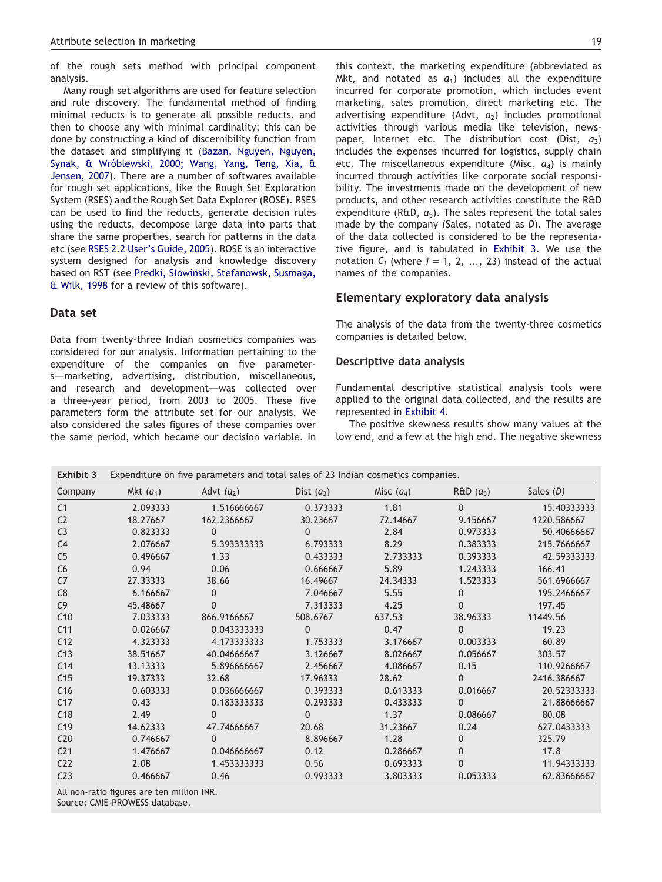<span id="page-3-0"></span>of the rough sets method with principal component analysis.

Many rough set algorithms are used for feature selection and rule discovery. The fundamental method of finding minimal reducts is to generate all possible reducts, and then to choose any with minimal cardinality; this can be done by constructing a kind of discernibility function from the dataset and simplifying it ([Bazan, Nguyen, Nguyen,](#page-7-0) Synak, & Wróblewski, 2000; [Wang, Yang, Teng, Xia, &](#page-8-0) [Jensen, 2007](#page-8-0)). There are a number of softwares available for rough set applications, like the Rough Set Exploration System (RSES) and the Rough Set Data Explorer (ROSE). RSES can be used to find the reducts, generate decision rules using the reducts, decompose large data into parts that share the same properties, search for patterns in the data etc (see [RSES 2.2 User's Guide, 2005](#page-8-0)). ROSE is an interactive system designed for analysis and knowledge discovery based on RST (see [Predki, S](#page-7-0)łowiński, Stefanowsk, Susmaga, [& Wilk, 1998](#page-7-0) for a review of this software).

# Data set

Data from twenty-three Indian cosmetics companies was considered for our analysis. Information pertaining to the expenditure of the companies on five parameters-marketing, advertising, distribution, miscellaneous, and research and development-was collected over a three-year period, from 2003 to 2005. These five parameters form the attribute set for our analysis. We also considered the sales figures of these companies over the same period, which became our decision variable. In this context, the marketing expenditure (abbreviated as Mkt, and notated as  $a_1$ ) includes all the expenditure incurred for corporate promotion, which includes event marketing, sales promotion, direct marketing etc. The advertising expenditure (Advt,  $a_2$ ) includes promotional activities through various media like television, newspaper, Internet etc. The distribution cost (Dist,  $a_3$ ) includes the expenses incurred for logistics, supply chain etc. The miscellaneous expenditure (Misc,  $a_4$ ) is mainly incurred through activities like corporate social responsibility. The investments made on the development of new products, and other research activities constitute the R&D expenditure (R&D,  $a_5$ ). The sales represent the total sales made by the company (Sales, notated as D). The average of the data collected is considered to be the representative figure, and is tabulated in Exhibit 3. We use the notation  $C_i$  (where  $i = 1, 2, ..., 23$ ) instead of the actual names of the companies.

## Elementary exploratory data analysis

The analysis of the data from the twenty-three cosmetics companies is detailed below.

#### Descriptive data analysis

Fundamental descriptive statistical analysis tools were applied to the original data collected, and the results are represented in [Exhibit 4](#page-4-0).

The positive skewness results show many values at the low end, and a few at the high end. The negative skewness

| Exhibit 3       |             | Expenditure on five parameters and total sales of 23 Indian cosmetics companies. |              |              |              |             |
|-----------------|-------------|----------------------------------------------------------------------------------|--------------|--------------|--------------|-------------|
| Company         | Mkt $(a_1)$ | Advt $(a_2)$                                                                     | Dist $(a_3)$ | Misc $(a_4)$ | $R&D(a_5)$   | Sales $(D)$ |
| C <sub>1</sub>  | 2.093333    | 1.516666667                                                                      | 0.373333     | 1.81         | $\Omega$     | 15.40333333 |
| C <sub>2</sub>  | 18.27667    | 162.2366667                                                                      | 30.23667     | 72.14667     | 9.156667     | 1220.586667 |
| C <sub>3</sub>  | 0.823333    | $\mathbf{0}$                                                                     | $\mathbf{0}$ | 2.84         | 0.973333     | 50.40666667 |
| C <sub>4</sub>  | 2.076667    | 5.393333333                                                                      | 6.793333     | 8.29         | 0.383333     | 215.7666667 |
| C <sub>5</sub>  | 0.496667    | 1.33                                                                             | 0.433333     | 2.733333     | 0.393333     | 42.59333333 |
| C6              | 0.94        | 0.06                                                                             | 0.666667     | 5.89         | 1.243333     | 166.41      |
| C <sub>7</sub>  | 27.33333    | 38.66                                                                            | 16.49667     | 24.34333     | 1.523333     | 561.6966667 |
| C8              | 6.166667    | 0                                                                                | 7.046667     | 5.55         | $\mathbf{0}$ | 195.2466667 |
| C <sub>9</sub>  | 45.48667    | $\mathbf{0}$                                                                     | 7.313333     | 4.25         | $\Omega$     | 197.45      |
| C10             | 7.033333    | 866.9166667                                                                      | 508.6767     | 637.53       | 38.96333     | 11449.56    |
| C <sub>11</sub> | 0.026667    | 0.043333333                                                                      | $\Omega$     | 0.47         | $\Omega$     | 19.23       |
| C12             | 4.323333    | 4.173333333                                                                      | 1.753333     | 3.176667     | 0.003333     | 60.89       |
| C13             | 38.51667    | 40.04666667                                                                      | 3.126667     | 8.026667     | 0.056667     | 303.57      |
| C <sub>14</sub> | 13.13333    | 5.896666667                                                                      | 2.456667     | 4.086667     | 0.15         | 110.9266667 |
| C <sub>15</sub> | 19.37333    | 32.68                                                                            | 17.96333     | 28.62        | $\Omega$     | 2416.386667 |
| C16             | 0.603333    | 0.036666667                                                                      | 0.393333     | 0.613333     | 0.016667     | 20.52333333 |
| C17             | 0.43        | 0.183333333                                                                      | 0.293333     | 0.433333     | $\Omega$     | 21.88666667 |
| C18             | 2.49        | $\mathbf{0}$                                                                     | $\Omega$     | 1.37         | 0.086667     | 80.08       |
| C <sub>19</sub> | 14.62333    | 47.74666667                                                                      | 20.68        | 31.23667     | 0.24         | 627.0433333 |
| C <sub>20</sub> | 0.746667    | $\Omega$                                                                         | 8.896667     | 1.28         | 0            | 325.79      |
| C <sub>21</sub> | 1.476667    | 0.046666667                                                                      | 0.12         | 0.286667     | 0            | 17.8        |
| C <sub>22</sub> | 2.08        | 1.453333333                                                                      | 0.56         | 0.693333     | $\Omega$     | 11.94333333 |
| C <sub>23</sub> | 0.466667    | 0.46                                                                             | 0.993333     | 3.803333     | 0.053333     | 62.83666667 |

All non-ratio figures are ten million INR.

Source: CMIE-PROWESS database.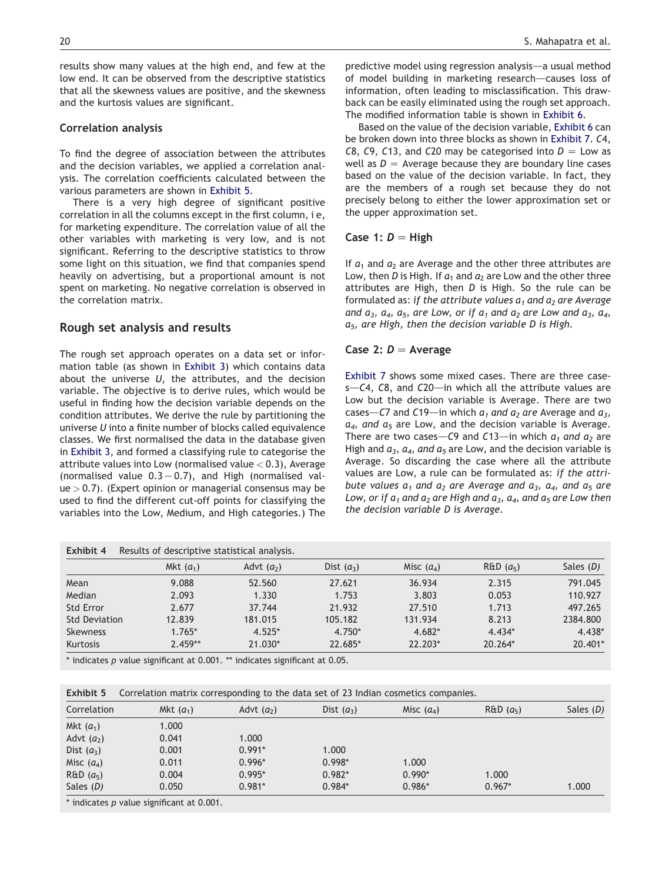#### <span id="page-4-0"></span>Correlation analysis

To find the degree of association between the attributes and the decision variables, we applied a correlation analysis. The correlation coefficients calculated between the various parameters are shown in Exhibit 5.

There is a very high degree of significant positive correlation in all the columns except in the first column, i e, for marketing expenditure. The correlation value of all the other variables with marketing is very low, and is not significant. Referring to the descriptive statistics to throw some light on this situation, we find that companies spend heavily on advertising, but a proportional amount is not spent on marketing. No negative correlation is observed in the correlation matrix.

## Rough set analysis and results

The rough set approach operates on a data set or information table (as shown in [Exhibit 3\)](#page-3-0) which contains data about the universe  $U$ , the attributes, and the decision variable. The objective is to derive rules, which would be useful in finding how the decision variable depends on the condition attributes. We derive the rule by partitioning the universe U into a finite number of blocks called equivalence classes. We first normalised the data in the database given in [Exhibit 3](#page-3-0), and formed a classifying rule to categorise the attribute values into Low (normalised value  $< 0.3$ ), Average (normalised value  $0.3 - 0.7$ ), and High (normalised val $ue > 0.7$ ). (Expert opinion or managerial consensus may be used to find the different cut-off points for classifying the variables into the Low, Medium, and High categories.) The

predictive model using regression analysis—a usual method of model building in marketing research—causes loss of information, often leading to misclassification. This drawback can be easily eliminated using the rough set approach. The modified information table is shown in [Exhibit 6](#page-5-0).

Based on the value of the decision variable, [Exhibit 6](#page-5-0) can be broken down into three blocks as shown in [Exhibit 7.](#page-6-0) C4, C8, C9, C13, and C20 may be categorised into  $D =$  Low as well as  $D =$  Average because they are boundary line cases based on the value of the decision variable. In fact, they are the members of a rough set because they do not precisely belong to either the lower approximation set or the upper approximation set.

#### Case 1:  $D = High$

If  $a_1$  and  $a_2$  are Average and the other three attributes are Low, then D is High. If  $a_1$  and  $a_2$  are Low and the other three attributes are High, then  $D$  is High. So the rule can be formulated as: if the attribute values  $a_1$  and  $a_2$  are Average and  $a_3$ ,  $a_4$ ,  $a_5$ , are Low, or if  $a_1$  and  $a_2$  are Low and  $a_3$ ,  $a_4$ ,  $a_5$ , are High, then the decision variable D is High.

#### Case 2:  $D =$  Average

[Exhibit 7](#page-6-0) shows some mixed cases. There are three case $s$ –C4, C8, and C20–in which all the attribute values are Low but the decision variable is Average. There are two cases–C7 and C19—in which  $a_1$  and  $a_2$  are Average and  $a_3$ ,  $a_4$ , and  $a_5$  are Low, and the decision variable is Average. There are two cases–C9 and C13—in which  $a_1$  and  $a_2$  are High and  $a_3$ ,  $a_4$ , and  $a_5$  are Low, and the decision variable is Average. So discarding the case where all the attribute values are Low, a rule can be formulated as: if the attribute values  $a_1$  and  $a_2$  are Average and  $a_3$ ,  $a_4$ , and  $a_5$  are Low, or if  $a_1$  and  $a_2$  are High and  $a_3$ ,  $a_4$ , and  $a_5$  are Low then the decision variable D is Average.

| Exhibit 4            | Results of descriptive statistical analysis. |              |              |              |                      |           |
|----------------------|----------------------------------------------|--------------|--------------|--------------|----------------------|-----------|
|                      | Mkt $(a_1)$                                  | Advt $(a_2)$ | Dist $(a_3)$ | Misc $(a_4)$ | R&D(a <sub>5</sub> ) | Sales (D) |
| Mean                 | 9.088                                        | 52.560       | 27.621       | 36.934       | 2.315                | 791.045   |
| Median               | 2.093                                        | 1.330        | 1.753        | 3.803        | 0.053                | 110.927   |
| Std Error            | 2.677                                        | 37.744       | 21.932       | 27.510       | 1.713                | 497.265   |
| <b>Std Deviation</b> | 12.839                                       | 181.015      | 105.182      | 131.934      | 8.213                | 2384.800  |
| <b>Skewness</b>      | $1.765*$                                     | $4.525*$     | 4.750*       | $4.682*$     | $4.434*$             | 4.438*    |
| Kurtosis             | $2.459**$                                    | 21.030*      | 22.685*      | 22.203*      | 20.264*              | 20.401*   |

\* indicates p value significant at 0.001. \*\* indicates significant at 0.05.

Exhibit 5 Correlation matrix corresponding to the data set of 23 Indian cosmetics companies.

| Correlation          | Mkt $(a_1)$                                     | Advt $(a_2)$ | Dist $(a_3)$ | Misc $(a_4)$ | R&D(a <sub>5</sub> ) | Sales (D) |
|----------------------|-------------------------------------------------|--------------|--------------|--------------|----------------------|-----------|
| Mkt $(a_1)$          | 1.000                                           |              |              |              |                      |           |
| Advt $(a_2)$         | 0.041                                           | 1.000        |              |              |                      |           |
| Dist $(a_3)$         | 0.001                                           | $0.991*$     | 1.000        |              |                      |           |
| Misc $(a_4)$         | 0.011                                           | $0.996*$     | $0.998*$     | 1.000        |                      |           |
| R&D(a <sub>5</sub> ) | 0.004                                           | $0.995*$     | $0.982*$     | $0.990*$     | 1.000                |           |
| Sales $(D)$          | 0.050                                           | $0.981*$     | $0.984*$     | $0.986*$     | $0.967*$             | 1.000     |
|                      | $\cdots$ . The second is the second of $\cdots$ |              |              |              |                      |           |

indicates  $p$  value significant at 0.001.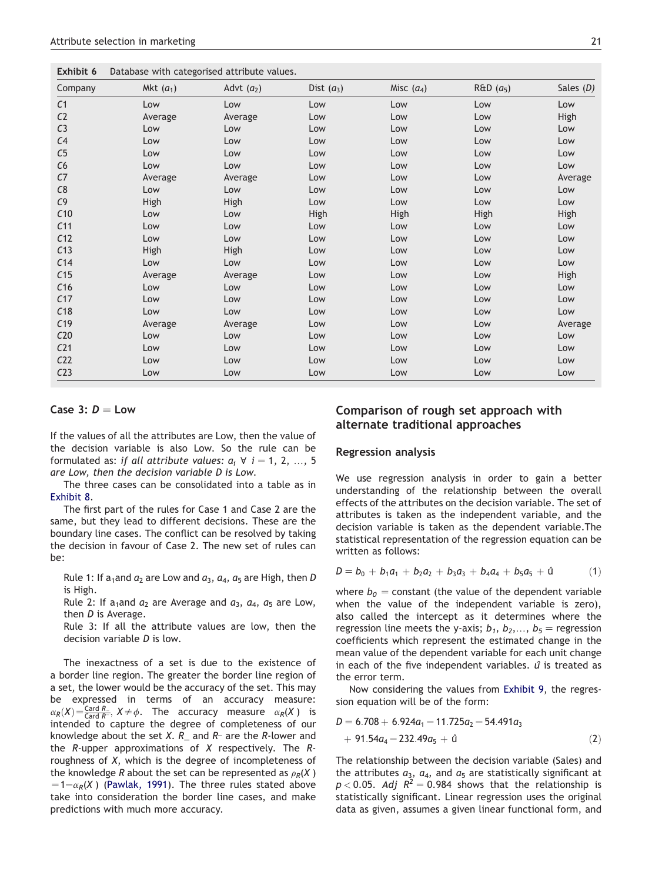<span id="page-5-0"></span>

| Exhibit 6 | Database with categorised attribute values. |  |
|-----------|---------------------------------------------|--|
|-----------|---------------------------------------------|--|

| Company         | Mkt $(a_1)$ | Advt $(a_2)$ | Dist $(a_3)$ | Misc $(a_4)$ | $R&D(a_5)$ | Sales (D) |
|-----------------|-------------|--------------|--------------|--------------|------------|-----------|
| C <sub>1</sub>  | Low         | Low          | Low          | Low          | Low        | Low       |
| C <sub>2</sub>  | Average     | Average      | Low          | Low          | Low        | High      |
| C <sub>3</sub>  | Low         | Low          | Low          | Low          | Low        | Low       |
| C <sub>4</sub>  | Low         | Low          | Low          | Low          | Low        | Low       |
| C5              | Low         | Low          | Low          | Low          | Low        | Low       |
| C6              | Low         | Low          | Low          | Low          | Low        | Low       |
| C7              | Average     | Average      | Low          | Low          | Low        | Average   |
| C8              | Low         | Low          | Low          | Low          | Low        | Low       |
| C9              | High        | High         | Low          | Low          | Low        | Low       |
| C10             | Low         | Low          | <b>High</b>  | High         | High       | High      |
| C11             | Low         | Low          | Low          | Low          | Low        | Low       |
| C12             | Low         | Low          | Low          | Low          | Low        | Low       |
| C13             | High        | High         | Low          | Low          | Low        | Low       |
| C14             | Low         | Low          | Low          | Low          | Low        | Low       |
| C <sub>15</sub> | Average     | Average      | Low          | Low          | Low        | High      |
| C16             | Low         | Low          | Low          | Low          | Low        | Low       |
| C17             | Low         | Low          | Low          | Low          | Low        | Low       |
| C18             | Low         | Low          | Low          | Low          | Low        | Low       |
| C19             | Average     | Average      | Low          | Low          | Low        | Average   |
| C <sub>20</sub> | Low         | Low          | Low          | Low          | Low        | Low       |
| C <sub>21</sub> | Low         | Low          | Low          | Low          | Low        | Low       |
| C <sub>22</sub> | Low         | Low          | Low          | Low          | Low        | Low       |
| C <sub>23</sub> | Low         | Low          | Low          | Low          | Low        | Low       |

## Case 3:  $D = Low$

If the values of all the attributes are Low, then the value of the decision variable is also Low. So the rule can be formulated as: if all attribute values:  $a_i \forall i = 1, 2, ..., 5$ are Low, then the decision variable D is Low.

The three cases can be consolidated into a table as in [Exhibit 8.](#page-6-0)

The first part of the rules for Case 1 and Case 2 are the same, but they lead to different decisions. These are the boundary line cases. The conflict can be resolved by taking the decision in favour of Case 2. The new set of rules can be:

Rule 1: If a<sub>1</sub> and  $a_2$  are Low and  $a_3$ ,  $a_4$ ,  $a_5$  are High, then D is High.

Rule 2: If a<sub>1</sub> and  $a_2$  are Average and  $a_3$ ,  $a_4$ ,  $a_5$  are Low, then D is Average.

Rule 3: If all the attribute values are low, then the decision variable D is low.

The inexactness of a set is due to the existence of a border line region. The greater the border line region of a set, the lower would be the accuracy of the set. This may be expressed in terms of an accuracy measure:  $\alpha_R(X) = \frac{\text{Card } R_-}{\text{Card } R^-}$ ,  $X \neq \phi$ . The accuracy measure  $\alpha_R(X)$  is intended to capture the degree of completeness of our knowledge about the set X.  $R_$  and  $R$ <sup>-</sup> are the R-lower and the  $R$ -upper approximations of  $X$  respectively. The  $R$ roughness of X, which is the degree of incompleteness of the knowledge R about the set can be represented as  $\rho_R(X)$  $=1-\alpha_R(X)$  [\(Pawlak, 1991\)](#page-7-0). The three rules stated above take into consideration the border line cases, and make predictions with much more accuracy.

## Comparison of rough set approach with alternate traditional approaches

#### Regression analysis

We use regression analysis in order to gain a better understanding of the relationship between the overall effects of the attributes on the decision variable. The set of attributes is taken as the independent variable, and the decision variable is taken as the dependent variable.The statistical representation of the regression equation can be written as follows:

$$
D = b_0 + b_1 a_1 + b_2 a_2 + b_3 a_3 + b_4 a_4 + b_5 a_5 + 0 \qquad (1)
$$

where  $b_0$  = constant (the value of the dependent variable when the value of the independent variable is zero), also called the intercept as it determines where the regression line meets the y-axis;  $b_1, b_2,..., b_5$  = regression coefficients which represent the estimated change in the mean value of the dependent variable for each unit change in each of the five independent variables.  $\hat{u}$  is treated as the error term.

Now considering the values from [Exhibit 9](#page-7-0), the regression equation will be of the form:

$$
D = 6.708 + 6.924a_1 - 11.725a_2 - 54.491a_3
$$
  
+ 91.54a\_4 - 232.49a\_5 + 0 (2)

The relationship between the decision variable (Sales) and the attributes  $a_3$ ,  $a_4$ , and  $a_5$  are statistically significant at  $p < 0.05$ . Adj  $R^2 = 0.984$  shows that the relationship is statistically significant. Linear regression uses the original data as given, assumes a given linear functional form, and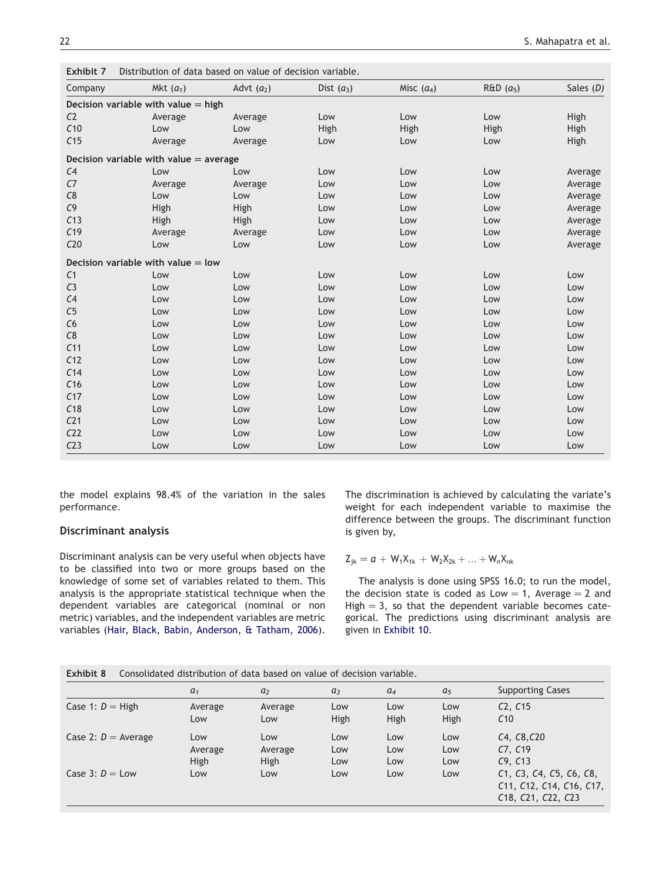| Company         | Mkt $(a_1)$                              | Advt $(a_2)$ | Dist $(a_3)$ | Misc $(a_4)$ | $R&D(a_5)$ | Sales $(D)$ |
|-----------------|------------------------------------------|--------------|--------------|--------------|------------|-------------|
|                 | Decision variable with value $=$ high    |              |              |              |            |             |
| C <sub>2</sub>  | Average                                  | Average      | Low          | Low          | Low        | High        |
| C10             | Low                                      | Low          | High         | High         | High       | High        |
| C <sub>15</sub> | Average                                  | Average      | Low          | Low          | Low        | High        |
|                 | Decision variable with value $=$ average |              |              |              |            |             |
| C <sub>4</sub>  | Low                                      | Low          | Low          | Low          | Low        | Average     |
| C <sub>7</sub>  | Average                                  | Average      | Low          | Low          | Low        | Average     |
| C8              | Low                                      | Low          | Low          | Low          | Low        | Average     |
| C <sub>9</sub>  | High                                     | High         | Low          | Low          | Low        | Average     |
| C13             | High                                     | High         | Low          | Low          | Low        | Average     |
| C <sub>19</sub> | Average                                  | Average      | Low          | Low          | Low        | Average     |
| C20             | Low                                      | Low          | Low          | Low          | Low        | Average     |
|                 | Decision variable with value $=$ low     |              |              |              |            |             |
| C <sub>1</sub>  | Low                                      | Low          | Low          | Low          | Low        | Low         |
| C <sub>3</sub>  | Low                                      | Low          | Low          | Low          | Low        | Low         |
| C <sub>4</sub>  | Low                                      | Low          | Low          | Low          | Low        | Low         |
| C <sub>5</sub>  | Low                                      | Low          | Low          | Low          | Low        | Low         |
| C6              | Low                                      | Low          | Low          | Low          | Low        | Low         |
| C8              | Low                                      | Low          | Low          | Low          | Low        | Low         |
| C <sub>11</sub> | Low                                      | Low          | Low          | Low          | Low        | Low         |
| C <sub>12</sub> | Low                                      | Low          | Low          | Low          | Low        | Low         |
| C <sub>14</sub> | Low                                      | Low          | Low          | Low          | Low        | Low         |
| C <sub>16</sub> | Low                                      | Low          | Low          | Low          | Low        | Low         |
| C17             | Low                                      | Low          | Low          | Low          | Low        | Low         |
| C18             | Low                                      | Low          | Low          | Low          | Low        | Low         |
| C <sub>21</sub> | Low                                      | Low          | Low          | Low          | Low        | Low         |
| C <sub>22</sub> | Low                                      | Low          | Low          | Low          | Low        | Low         |
| C <sub>23</sub> | Low                                      | Low          | Low          | Low          | Low        | Low         |

<span id="page-6-0"></span>Exhibit 7 Distribution of data based on value of decision variable.

the model explains 98.4% of the variation in the sales performance.

## Discriminant analysis

Discriminant analysis can be very useful when objects have to be classified into two or more groups based on the knowledge of some set of variables related to them. This analysis is the appropriate statistical technique when the dependent variables are categorical (nominal or non metric) variables, and the independent variables are metric variables ([Hair, Black, Babin, Anderson, & Tatham, 2006](#page-7-0)). The discrimination is achieved by calculating the variate's weight for each independent variable to maximise the difference between the groups. The discriminant function is given by,

$$
Z_{jk} = a + W_1 X_{1k} + W_2 X_{2k} + ... + W_n X_{nk}
$$

The analysis is done using SPSS 16.0; to run the model, the decision state is coded as Low  $= 1$ , Average  $= 2$  and High  $=$  3, so that the dependent variable becomes categorical. The predictions using discriminant analysis are given in [Exhibit 10.](#page-7-0)

|                       | a <sub>1</sub> | a <sub>2</sub> | $a_3$ | $a_4$ | a <sub>5</sub> | <b>Supporting Cases</b>                                                   |
|-----------------------|----------------|----------------|-------|-------|----------------|---------------------------------------------------------------------------|
| Case 1: $D =$ High    | Average        | Average        | Low   | Low   | Low            | C2, C15                                                                   |
|                       | Low            | Low            | High  | High  | High           | C10                                                                       |
| Case 2: $D =$ Average | Low            | Low            | Low   | Low   | Low            | C4, C8, C20                                                               |
|                       | Average        | Average        | Low   | Low   | Low            | C7, C19                                                                   |
|                       | High           | High           | Low   | Low   | Low            | C9, C13                                                                   |
| Case 3: $D = Low$     | Low            | Low            | Low   | Low   | Low            | C1, C3, C4, C5, C6, C8,<br>C11, C12, C14, C16, C17,<br>C18, C21, C22, C23 |

Exhibit 8 Consolidated distribution of data based on value of decision variable.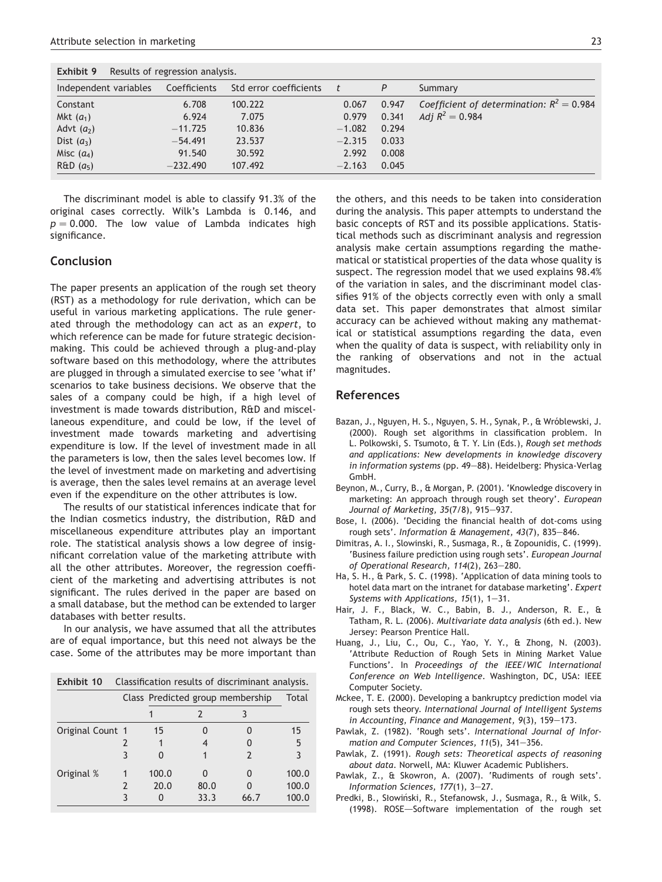<span id="page-7-0"></span>

| Exhibit 9<br>Results of regression analysis. |              |                        |          |       |                                             |  |  |  |  |
|----------------------------------------------|--------------|------------------------|----------|-------|---------------------------------------------|--|--|--|--|
| Independent variables                        | Coefficients | Std error coefficients |          | P     | Summary                                     |  |  |  |  |
| Constant                                     | 6.708        | 100.222                | 0.067    | 0.947 | Coefficient of determination: $R^2 = 0.984$ |  |  |  |  |
| Mkt $(a_1)$                                  | 6.924        | 7.075                  | 0.979    | 0.341 | Adj $R^2 = 0.984$                           |  |  |  |  |
| Advt $(a_2)$                                 | $-11.725$    | 10.836                 | $-1.082$ | 0.294 |                                             |  |  |  |  |
| Dist $(a_3)$                                 | $-54.491$    | 23.537                 | $-2.315$ | 0.033 |                                             |  |  |  |  |
| Misc $(a_4)$                                 | 91.540       | 30.592                 | 2.992    | 0.008 |                                             |  |  |  |  |
| R&D(a <sub>5</sub> )                         | $-232.490$   | 107.492                | $-2.163$ | 0.045 |                                             |  |  |  |  |

The discriminant model is able to classify 91.3% of the original cases correctly. Wilk's Lambda is 0.146, and  $p = 0.000$ . The low value of Lambda indicates high significance.

## Conclusion

The paper presents an application of the rough set theory (RST) as a methodology for rule derivation, which can be useful in various marketing applications. The rule generated through the methodology can act as an expert, to which reference can be made for future strategic decisionmaking. This could be achieved through a plug-and-play software based on this methodology, where the attributes are plugged in through a simulated exercise to see 'what if' scenarios to take business decisions. We observe that the sales of a company could be high, if a high level of investment is made towards distribution, R&D and miscellaneous expenditure, and could be low, if the level of investment made towards marketing and advertising expenditure is low. If the level of investment made in all the parameters is low, then the sales level becomes low. If the level of investment made on marketing and advertising is average, then the sales level remains at an average level even if the expenditure on the other attributes is low.

The results of our statistical inferences indicate that for the Indian cosmetics industry, the distribution, R&D and miscellaneous expenditure attributes play an important role. The statistical analysis shows a low degree of insignificant correlation value of the marketing attribute with all the other attributes. Moreover, the regression coefficient of the marketing and advertising attributes is not significant. The rules derived in the paper are based on a small database, but the method can be extended to larger databases with better results.

In our analysis, we have assumed that all the attributes are of equal importance, but this need not always be the case. Some of the attributes may be more important than

| Exhibit 10       | Classification results of discriminant analysis. |       |                                  |      |       |  |  |
|------------------|--------------------------------------------------|-------|----------------------------------|------|-------|--|--|
|                  |                                                  |       | Class Predicted group membership |      | Total |  |  |
|                  |                                                  |       |                                  |      |       |  |  |
| Original Count 1 |                                                  | 15    |                                  |      | 15    |  |  |
|                  |                                                  |       |                                  |      | 5     |  |  |
|                  |                                                  |       |                                  |      |       |  |  |
| Original %       |                                                  | 100.0 |                                  | O    | 100.0 |  |  |
|                  |                                                  | 20.0  | 80.0                             |      | 100.0 |  |  |
|                  |                                                  |       | 33.3                             | 66.7 | 100.0 |  |  |

the others, and this needs to be taken into consideration during the analysis. This paper attempts to understand the basic concepts of RST and its possible applications. Statistical methods such as discriminant analysis and regression analysis make certain assumptions regarding the mathematical or statistical properties of the data whose quality is suspect. The regression model that we used explains 98.4% of the variation in sales, and the discriminant model classifies 91% of the objects correctly even with only a small data set. This paper demonstrates that almost similar accuracy can be achieved without making any mathematical or statistical assumptions regarding the data, even when the quality of data is suspect, with reliability only in the ranking of observations and not in the actual magnitudes.

#### References

- Bazan, J., Nguyen, H. S., Nguyen, S. H., Synak, P., & Wróblewski, J. (2000). Rough set algorithms in classification problem. In L. Polkowski, S. Tsumoto, & T. Y. Lin (Eds.), Rough set methods and applications: New developments in knowledge discovery in information systems (pp. 49-88). Heidelberg: Physica-Verlag GmbH.
- Beynon, M., Curry, B., & Morgan, P. (2001). 'Knowledge discovery in marketing: An approach through rough set theory'. European Journal of Marketing, 35(7/8), 915-937.
- Bose, I. (2006). 'Deciding the financial health of dot-coms using rough sets'. Information & Management,  $43(7)$ ,  $835-846$ .
- Dimitras, A. I., Slowinski, R., Susmaga, R., & Zopounidis, C. (1999). 'Business failure prediction using rough sets'. European Journal of Operational Research,  $114(2)$ ,  $263-280$ .
- Ha, S. H., & Park, S. C. (1998). 'Application of data mining tools to hotel data mart on the intranet for database marketing'. Expert Systems with Applications,  $15(1)$ ,  $1-31$ .
- Hair, J. F., Black, W. C., Babin, B. J., Anderson, R. E., & Tatham, R. L. (2006). Multivariate data analysis (6th ed.). New Jersey: Pearson Prentice Hall.
- Huang, J., Liu, C., Ou, C., Yao, Y. Y., & Zhong, N. (2003). 'Attribute Reduction of Rough Sets in Mining Market Value Functions'. In Proceedings of the IEEE/WIC International Conference on Web Intelligence. Washington, DC, USA: IEEE Computer Society.
- Mckee, T. E. (2000). Developing a bankruptcy prediction model via rough sets theory. International Journal of Intelligent Systems in Accounting, Finance and Management,  $9(3)$ ,  $159-173$ .
- Pawlak, Z. (1982). 'Rough sets'. International Journal of Information and Computer Sciences,  $11(5)$ ,  $341-356$ .
- Pawlak, Z. (1991). Rough sets: Theoretical aspects of reasoning about data. Norwell, MA: Kluwer Academic Publishers.
- Pawlak, Z., & Skowron, A. (2007). 'Rudiments of rough sets'. Information Sciences,  $177(1)$ ,  $3-27$ .
- Predki, B., Słowiński, R., Stefanowsk, J., Susmaga, R., & Wilk, S.  $(1998)$ . ROSE-Software implementation of the rough set